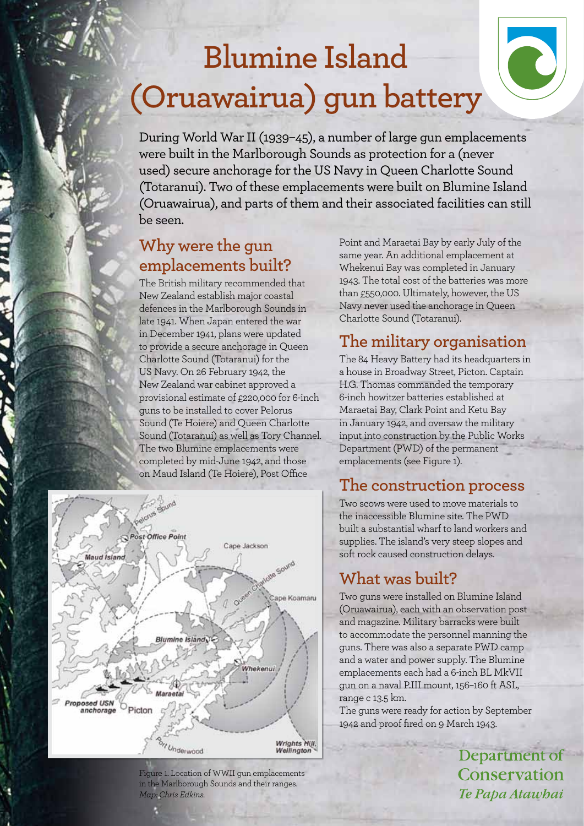# **Blumine Island (Oruawairua) gun battery**

During World War II (1939–45), a number of large gun emplacements were built in the Marlborough Sounds as protection for a (never used) secure anchorage for the US Navy in Queen Charlotte Sound (Totaranui). Two of these emplacements were built on Blumine Island (Oruawairua), and parts of them and their associated facilities can still be seen.

# **Why were the gun emplacements built?**

The British military recommended that New Zealand establish major coastal defences in the Marlborough Sounds in late 1941. When Japan entered the war in December 1941, plans were updated to provide a secure anchorage in Queen Charlotte Sound (Totaranui) for the US Navy. On 26 February 1942, the New Zealand war cabinet approved a provisional estimate of £220,000 for 6-inch guns to be installed to cover Pelorus Sound (Te Hoiere) and Queen Charlotte Sound (Totaranui) as well as Tory Channel. The two Blumine emplacements were completed by mid-June 1942, and those on Maud Island (Te Hoiere), Post Office



Figure 1. Location of WWII gun emplacements in the Marlborough Sounds and their ranges. *Map: Chris Edkins.*

Point and Maraetai Bay by early July of the same year. An additional emplacement at Whekenui Bay was completed in January 1943. The total cost of the batteries was more than £550,000. Ultimately, however, the US Navy never used the anchorage in Queen Charlotte Sound (Totaranui).

# **The military organisation**

The 84 Heavy Battery had its headquarters in a house in Broadway Street, Picton. Captain H.G. Thomas commanded the temporary 6-inch howitzer batteries established at Maraetai Bay, Clark Point and Ketu Bay in January 1942, and oversaw the military input into construction by the Public Works Department (PWD) of the permanent emplacements (see Figure 1).

## **The construction process**

Two scows were used to move materials to the inaccessible Blumine site. The PWD built a substantial wharf to land workers and supplies. The island's very steep slopes and soft rock caused construction delays.

# **What was built?**

Two guns were installed on Blumine Island (Oruawairua), each with an observation post and magazine. Military barracks were built to accommodate the personnel manning the guns. There was also a separate PWD camp and a water and power supply. The Blumine emplacements each had a 6-inch BL MkVII gun on a naval P.III mount, 156–160 ft ASL, range c 13.5 km.

The guns were ready for action by September 1942 and proof fired on 9 March 1943.

> Department of Conservation Te Papa Atawbai